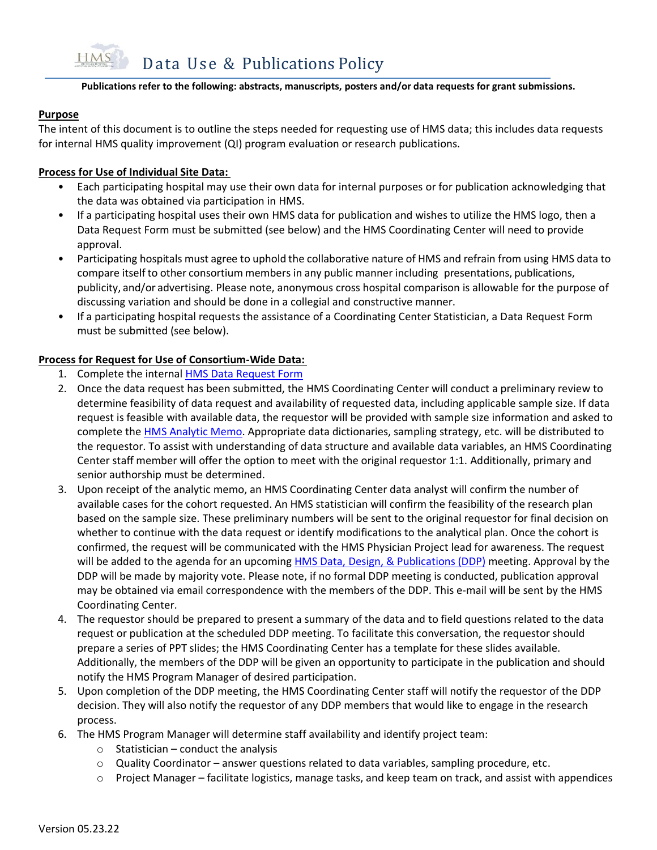#### **Publications refer to the following: abstracts, manuscripts, posters and/or data requests for grant submissions.**

### **Purpose**

The intent of this document is to outline the steps needed for requesting use of HMS data; this includes data requests for internal HMS quality improvement (QI) program evaluation or research publications.

### **Process for Use of Individual Site Data:**

- Each participating hospital may use their own data for internal purposes or for publication acknowledging that the data was obtained via participation in HMS.
- If a participating hospital uses their own HMS data for publication and wishes to utilize the HMS logo, then a Data Request Form must be submitted (see below) and the HMS Coordinating Center will need to provide approval.
- Participating hospitals must agree to uphold the collaborative nature of HMS and refrain from using HMS data to compare itself to other consortium members in any public manner including presentations, publications, publicity, and/or advertising. Please note, anonymous cross hospital comparison is allowable for the purpose of discussing variation and should be done in a collegial and constructive manner.
- If a participating hospital requests the assistance of a Coordinating Center Statistician, a Data Request Form must be submitted (see below).

### **Process for Request for Use of Consortium-Wide Data:**

- 1. Complete the internal [HMS Data Request](https://umichumhs.qualtrics.com/jfe/form/SV_8DsLm3pOryv12SN) Form
- 2. Once the data request has been submitted, the HMS Coordinating Center will conduct a preliminary review to determine feasibility of data request and availability of requested data, including applicable sample size. If data request is feasible with available data, the requestor will be provided with sample size information and asked to complete the [HMS Analytic Memo.](https://mi-hms.org/sites/default/files/HMS%20Analytic%20Memo_020722.docx) Appropriate data dictionaries, sampling strategy, etc. will be distributed to the requestor. To assist with understanding of data structure and available data variables, an HMS Coordinating Center staff member will offer the option to meet with the original requestor 1:1. Additionally, primary and senior authorship must be determined.
- 3. Upon receipt of the analytic memo, an HMS Coordinating Center data analyst will confirm the number of available cases for the cohort requested. An HMS statistician will confirm the feasibility of the research plan based on the sample size. These preliminary numbers will be sent to the original requestor for final decision on whether to continue with the data request or identify modifications to the analytical plan. Once the cohort is confirmed, the request will be communicated with the HMS Physician Project lead for awareness. The request will be added to the agenda for an upcoming [HMS Data, Design, & Publications \(DDP\)](https://mi-hms.org/sites/default/files/HMS%20Roles%20of%20the%20DDP_020122_FINAL.docx) meeting. Approval by the DDP will be made by majority vote. Please note, if no formal DDP meeting is conducted, publication approval may be obtained via email correspondence with the members of the DDP. This e-mail will be sent by the HMS Coordinating Center.
- 4. The requestor should be prepared to present a summary of the data and to field questions related to the data request or publication at the scheduled DDP meeting. To facilitate this conversation, the requestor should prepare a series of PPT slides; the HMS Coordinating Center has a template for these slides available. Additionally, the members of the DDP will be given an opportunity to participate in the publication and should notify the HMS Program Manager of desired participation.
- 5. Upon completion of the DDP meeting, the HMS Coordinating Center staff will notify the requestor of the DDP decision. They will also notify the requestor of any DDP members that would like to engage in the research process.
- 6. The HMS Program Manager will determine staff availability and identify project team:
	- $\circ$  Statistician conduct the analysis
	- $\circ$  Quality Coordinator answer questions related to data variables, sampling procedure, etc.
	- o Project Manager facilitate logistics, manage tasks, and keep team on track, and assist with appendices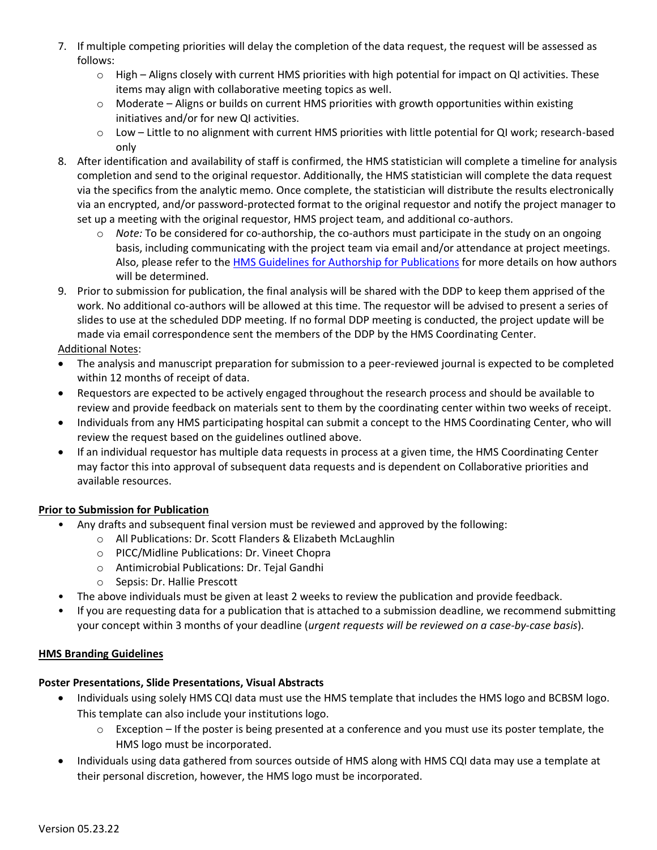- 7. If multiple competing priorities will delay the completion of the data request, the request will be assessed as follows:
	- o High Aligns closely with current HMS priorities with high potential for impact on QI activities. These items may align with collaborative meeting topics as well.
	- $\circ$  Moderate Aligns or builds on current HMS priorities with growth opportunities within existing initiatives and/or for new QI activities.
	- o Low Little to no alignment with current HMS priorities with little potential for QI work; research-based only
- 8. After identification and availability of staff is confirmed, the HMS statistician will complete a timeline for analysis completion and send to the original requestor. Additionally, the HMS statistician will complete the data request via the specifics from the analytic memo. Once complete, the statistician will distribute the results electronically via an encrypted, and/or password-protected format to the original requestor and notify the project manager to set up a meeting with the original requestor, HMS project team, and additional co-authors.
	- o *Note:* To be considered for co-authorship, the co-authors must participate in the study on an ongoing basis, including communicating with the project team via email and/or attendance at project meetings. Also, please refer to the [HMS Guidelines for Authorship for Publications](https://mi-hms.org/sites/default/files/HMS%20Guidelines%20for%20Authorship%20for%20Publications_021022.pdf) for more details on how authors will be determined.
- 9. Prior to submission for publication, the final analysis will be shared with the DDP to keep them apprised of the work. No additional co-authors will be allowed at this time. The requestor will be advised to present a series of slides to use at the scheduled DDP meeting. If no formal DDP meeting is conducted, the project update will be made via email correspondence sent the members of the DDP by the HMS Coordinating Center.

# Additional Notes:

- The analysis and manuscript preparation for submission to a peer-reviewed journal is expected to be completed within 12 months of receipt of data.
- Requestors are expected to be actively engaged throughout the research process and should be available to review and provide feedback on materials sent to them by the coordinating center within two weeks of receipt.
- Individuals from any HMS participating hospital can submit a concept to the HMS Coordinating Center, who will review the request based on the guidelines outlined above.
- If an individual requestor has multiple data requests in process at a given time, the HMS Coordinating Center may factor this into approval of subsequent data requests and is dependent on Collaborative priorities and available resources.

## **Prior to Submission for Publication**

- Any drafts and subsequent final version must be reviewed and approved by the following:
	- o All Publications: Dr. Scott Flanders & Elizabeth McLaughlin
	- o PICC/Midline Publications: Dr. Vineet Chopra
	- o Antimicrobial Publications: Dr. Tejal Gandhi
	- o Sepsis: Dr. Hallie Prescott
- The above individuals must be given at least 2 weeks to review the publication and provide feedback.
- If you are requesting data for a publication that is attached to a submission deadline, we recommend submitting your concept within 3 months of your deadline (*urgent requests will be reviewed on a case-by-case basis*).

## **HMS Branding Guidelines**

## **Poster Presentations, Slide Presentations, Visual Abstracts**

- Individuals using solely HMS CQI data must use the HMS template that includes the HMS logo and BCBSM logo. This template can also include your institutions logo.
	- $\circ$  Exception If the poster is being presented at a conference and you must use its poster template, the HMS logo must be incorporated.
- Individuals using data gathered from sources outside of HMS along with HMS CQI data may use a template at their personal discretion, however, the HMS logo must be incorporated.